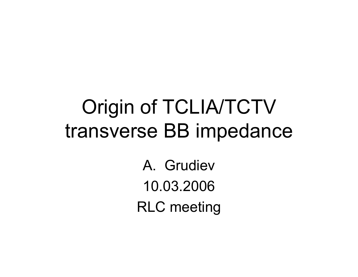# Origin of TCLIA/TCTV transverse BB impedance

A. Grudiev10.03.2006RLC meeting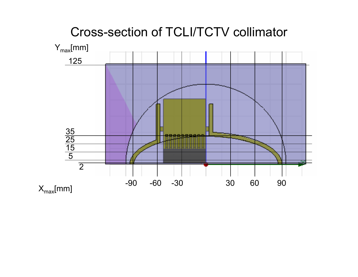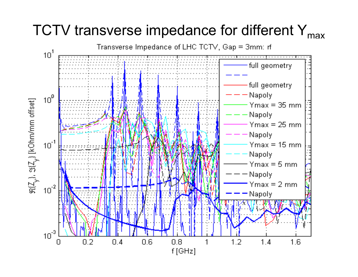### TCTV transverse impedance for different Y<sub>max</sub>

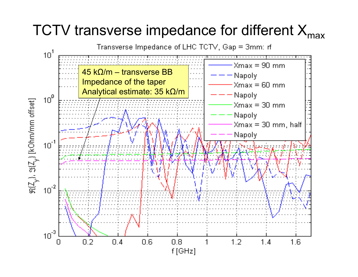#### TCTV transverse impedance for different  $X_{\text{max}}$

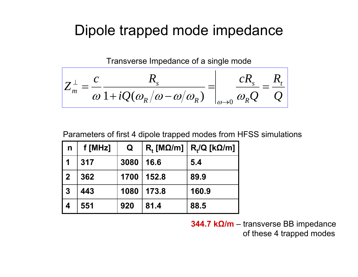#### Dipole trapped mode impedance

Transverse Impedance of a single mode

$$
Z_m^{\perp} = \frac{c}{\omega} \frac{R_s}{1 + iQ(\omega_R/\omega - \omega/\omega_R)} = \frac{cR_s}{\omega_{\text{A}}\omega_0} = \frac{R_t}{Q}
$$

Parameters of first 4 dipole trapped modes from HFSS simulations

| $\mathsf{n}$            | f [MHz] | Q    | $R_{t}$ [M $\Omega$ /m] | $R_t/Q$ [k $\Omega/m$ ] |
|-------------------------|---------|------|-------------------------|-------------------------|
| $\overline{\mathbf{1}}$ | 317     | 3080 | 16.6                    | 5.4                     |
| $\overline{2}$          | 362     | 1700 | 152.8                   | 89.9                    |
| $\overline{3}$          | 443     | 1080 | 173.8                   | 160.9                   |
| $\overline{\mathbf{4}}$ | 551     | 920  | 81.4                    | 88.5                    |

**344.7 k Ω/m** – transverse BB impedance of these 4 trapped modes